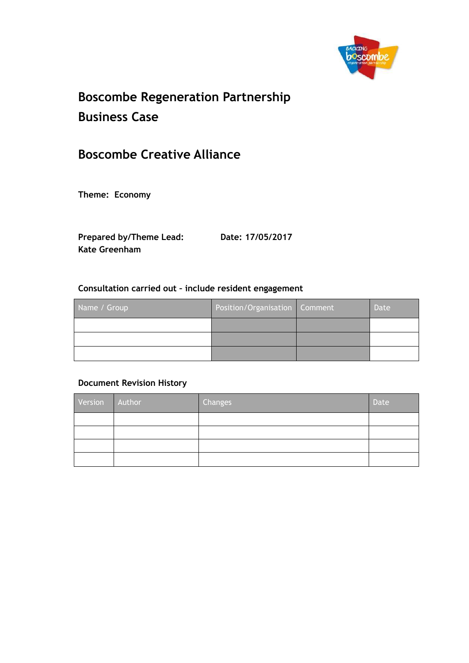

# **Boscombe Regeneration Partnership Business Case**

## **Boscombe Creative Alliance**

**Theme: Economy**

**Prepared by/Theme Lead: Date: 17/05/2017Kate Greenham**

#### **Consultation carried out – include resident engagement**

| Name / Group | Position/Organisation Comment | <b>Date</b> |
|--------------|-------------------------------|-------------|
|              |                               |             |
|              |                               |             |
|              |                               |             |

#### **Document Revision History**

| Version | Author | Changes | Date |
|---------|--------|---------|------|
|         |        |         |      |
|         |        |         |      |
|         |        |         |      |
|         |        |         |      |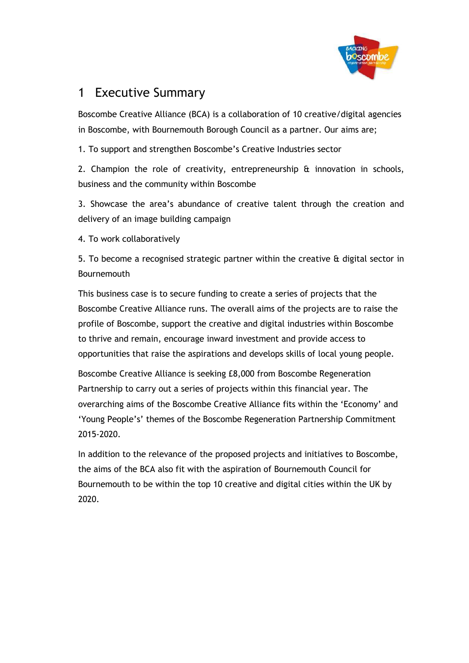

## 1 Executive Summary

Boscombe Creative Alliance (BCA) is a collaboration of 10 creative/digital agencies in Boscombe, with Bournemouth Borough Council as a partner. Our aims are;

1. To support and strengthen Boscombe's Creative Industries sector

2. Champion the role of creativity, entrepreneurship & innovation in schools, business and the community within Boscombe

3. Showcase the area's abundance of creative talent through the creation and delivery of an image building campaign

4. To work collaboratively

5. To become a recognised strategic partner within the creative & digital sector in Bournemouth

This business case is to secure funding to create a series of projects that the Boscombe Creative Alliance runs. The overall aims of the projects are to raise the profile of Boscombe, support the creative and digital industries within Boscombe to thrive and remain, encourage inward investment and provide access to opportunities that raise the aspirations and develops skills of local young people.

Boscombe Creative Alliance is seeking £8,000 from Boscombe Regeneration Partnership to carry out a series of projects within this financial year. The overarching aims of the Boscombe Creative Alliance fits within the 'Economy' and 'Young People's' themes of the Boscombe Regeneration Partnership Commitment 2015-2020.

In addition to the relevance of the proposed projects and initiatives to Boscombe, the aims of the BCA also fit with the aspiration of Bournemouth Council for Bournemouth to be within the top 10 creative and digital cities within the UK by 2020.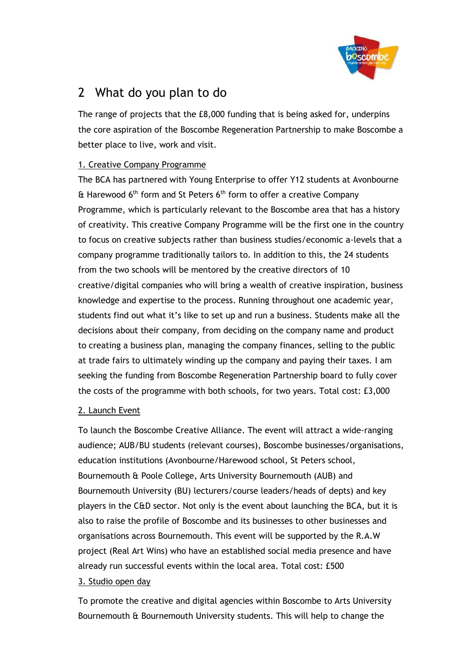

## 2 What do you plan to do

The range of projects that the £8,000 funding that is being asked for, underpins the core aspiration of the Boscombe Regeneration Partnership to make Boscombe a better place to live, work and visit.

### 1. Creative Company Programme

The BCA has partnered with Young Enterprise to offer Y12 students at Avonbourne  $\text{ft}$  Harewood 6<sup>th</sup> form and St Peters 6<sup>th</sup> form to offer a creative Company Programme, which is particularly relevant to the Boscombe area that has a history of creativity. This creative Company Programme will be the first one in the country to focus on creative subjects rather than business studies/economic a-levels that a company programme traditionally tailors to. In addition to this, the 24 students from the two schools will be mentored by the creative directors of 10 creative/digital companies who will bring a wealth of creative inspiration, business knowledge and expertise to the process. Running throughout one academic year, students find out what it's like to set up and run a business. Students make all the decisions about their company, from deciding on the company name and product to creating a business plan, managing the company finances, selling to the public at trade fairs to ultimately winding up the company and paying their taxes. I am seeking the funding from Boscombe Regeneration Partnership board to fully cover the costs of the programme with both schools, for two years. Total cost: £3,000

### 2. Launch Event

To launch the Boscombe Creative Alliance. The event will attract a wide-ranging audience; AUB/BU students (relevant courses), Boscombe businesses/organisations, education institutions (Avonbourne/Harewood school, St Peters school, Bournemouth & Poole College, Arts University Bournemouth (AUB) and Bournemouth University (BU) lecturers/course leaders/heads of depts) and key players in the C&D sector. Not only is the event about launching the BCA, but it is also to raise the profile of Boscombe and its businesses to other businesses and organisations across Bournemouth. This event will be supported by the R.A.W project (Real Art Wins) who have an established social media presence and have already run successful events within the local area. Total cost: £500 3. Studio open day

### To promote the creative and digital agencies within Boscombe to Arts University Bournemouth & Bournemouth University students. This will help to change the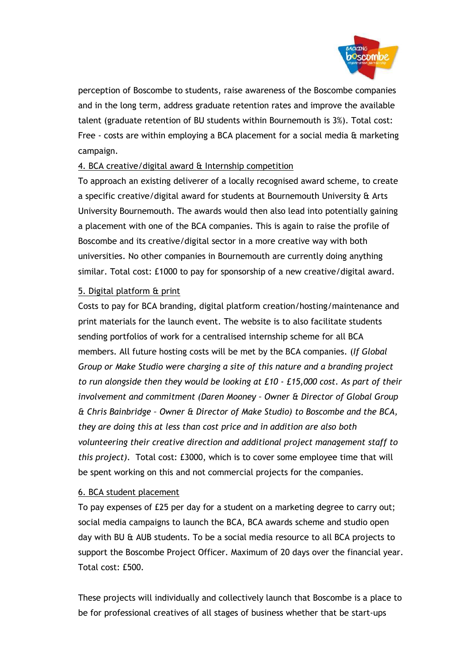

perception of Boscombe to students, raise awareness of the Boscombe companies and in the long term, address graduate retention rates and improve the available talent (graduate retention of BU students within Bournemouth is 3%). Total cost: Free - costs are within employing a BCA placement for a social media & marketing campaign.

### 4. BCA creative/digital award & Internship competition

To approach an existing deliverer of a locally recognised award scheme, to create a specific creative/digital award for students at Bournemouth University & Arts University Bournemouth. The awards would then also lead into potentially gaining a placement with one of the BCA companies. This is again to raise the profile of Boscombe and its creative/digital sector in a more creative way with both universities. No other companies in Bournemouth are currently doing anything similar. Total cost: £1000 to pay for sponsorship of a new creative/digital award.

### 5. Digital platform & print

Costs to pay for BCA branding, digital platform creation/hosting/maintenance and print materials for the launch event. The website is to also facilitate students sending portfolios of work for a centralised internship scheme for all BCA members. All future hosting costs will be met by the BCA companies. (*If Global Group or Make Studio were charging a site of this nature and a branding project to run alongside then they would be looking at £10 - £15,000 cost. As part of their involvement and commitment (Daren Mooney – Owner & Director of Global Group & Chris Bainbridge – Owner & Director of Make Studio) to Boscombe and the BCA, they are doing this at less than cost price and in addition are also both volunteering their creative direction and additional project management staff to this project).* Total cost: £3000, which is to cover some employee time that will be spent working on this and not commercial projects for the companies.

### 6. BCA student placement

To pay expenses of £25 per day for a student on a marketing degree to carry out; social media campaigns to launch the BCA, BCA awards scheme and studio open day with BU & AUB students. To be a social media resource to all BCA projects to support the Boscombe Project Officer. Maximum of 20 days over the financial year. Total cost: £500.

These projects will individually and collectively launch that Boscombe is a place to be for professional creatives of all stages of business whether that be start-ups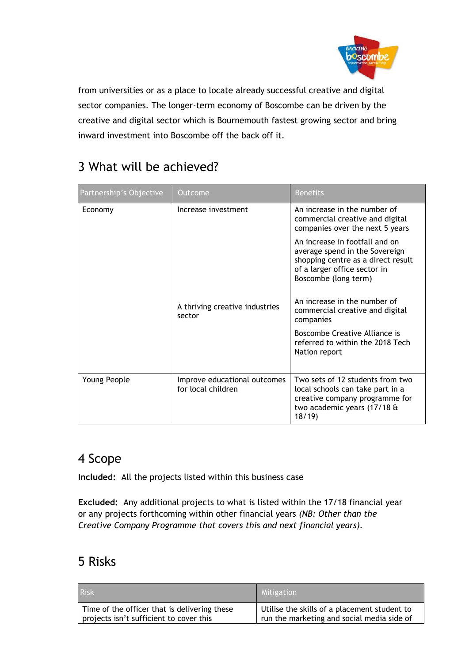

from universities or as a place to locate already successful creative and digital sector companies. The longer-term economy of Boscombe can be driven by the creative and digital sector which is Bournemouth fastest growing sector and bring inward investment into Boscombe off the back off it.

| Partnership's Objective | Outcome                                            | <b>Benefits</b>                                                                                                                                                                                                                   |  |
|-------------------------|----------------------------------------------------|-----------------------------------------------------------------------------------------------------------------------------------------------------------------------------------------------------------------------------------|--|
| Economy                 | Increase investment                                | An increase in the number of<br>commercial creative and digital<br>companies over the next 5 years                                                                                                                                |  |
|                         | A thriving creative industries                     | An increase in footfall and on<br>average spend in the Sovereign<br>shopping centre as a direct result<br>of a larger office sector in<br>Boscombe (long term)<br>An increase in the number of<br>commercial creative and digital |  |
|                         | sector                                             | companies                                                                                                                                                                                                                         |  |
|                         |                                                    | Boscombe Creative Alliance is<br>referred to within the 2018 Tech<br>Nation report                                                                                                                                                |  |
| Young People            | Improve educational outcomes<br>for local children | Two sets of 12 students from two<br>local schools can take part in a<br>creative company programme for<br>two academic years (17/18 &<br>18/19                                                                                    |  |

# 3 What will be achieved?

### 4 Scope

**Included:** All the projects listed within this business case

**Excluded:** Any additional projects to what is listed within the 17/18 financial year or any projects forthcoming within other financial years *(NB: Other than the Creative Company Programme that covers this and next financial years).*

# 5 Risks

| <b>Risk</b>                                  | Mitigation                                   |
|----------------------------------------------|----------------------------------------------|
| Time of the officer that is delivering these | Utilise the skills of a placement student to |
| projects isn't sufficient to cover this      | run the marketing and social media side of   |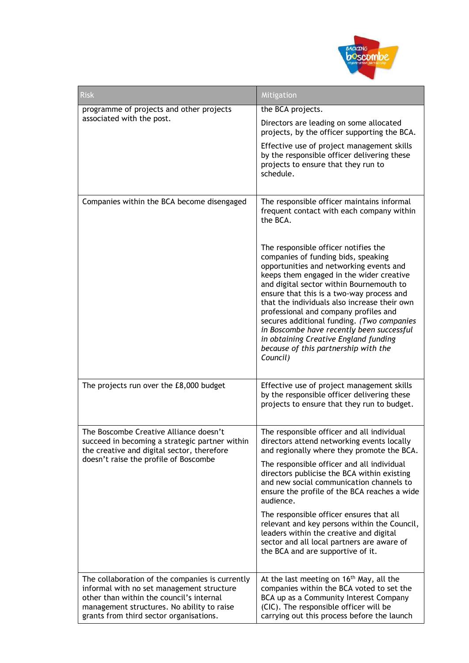

| <b>Risk</b>                                                                                                                                                                                                                       | <b>Mitigation</b>                                                                                                                                                                                                                                                                                                                                                                                                                                                                                                                            |  |  |
|-----------------------------------------------------------------------------------------------------------------------------------------------------------------------------------------------------------------------------------|----------------------------------------------------------------------------------------------------------------------------------------------------------------------------------------------------------------------------------------------------------------------------------------------------------------------------------------------------------------------------------------------------------------------------------------------------------------------------------------------------------------------------------------------|--|--|
| programme of projects and other projects<br>associated with the post.                                                                                                                                                             | the BCA projects.                                                                                                                                                                                                                                                                                                                                                                                                                                                                                                                            |  |  |
|                                                                                                                                                                                                                                   | Directors are leading on some allocated<br>projects, by the officer supporting the BCA.                                                                                                                                                                                                                                                                                                                                                                                                                                                      |  |  |
|                                                                                                                                                                                                                                   | Effective use of project management skills<br>by the responsible officer delivering these<br>projects to ensure that they run to<br>schedule.                                                                                                                                                                                                                                                                                                                                                                                                |  |  |
| Companies within the BCA become disengaged                                                                                                                                                                                        | The responsible officer maintains informal<br>frequent contact with each company within<br>the BCA.                                                                                                                                                                                                                                                                                                                                                                                                                                          |  |  |
|                                                                                                                                                                                                                                   | The responsible officer notifies the<br>companies of funding bids, speaking<br>opportunities and networking events and<br>keeps them engaged in the wider creative<br>and digital sector within Bournemouth to<br>ensure that this is a two-way process and<br>that the individuals also increase their own<br>professional and company profiles and<br>secures additional funding. (Two companies<br>in Boscombe have recently been successful<br>in obtaining Creative England funding<br>because of this partnership with the<br>Council) |  |  |
| The projects run over the £8,000 budget                                                                                                                                                                                           | Effective use of project management skills<br>by the responsible officer delivering these<br>projects to ensure that they run to budget.                                                                                                                                                                                                                                                                                                                                                                                                     |  |  |
| The Boscombe Creative Alliance doesn't<br>succeed in becoming a strategic partner within<br>the creative and digital sector, therefore                                                                                            | The responsible officer and all individual<br>directors attend networking events locally<br>and regionally where they promote the BCA.                                                                                                                                                                                                                                                                                                                                                                                                       |  |  |
| doesn't raise the profile of Boscombe                                                                                                                                                                                             | The responsible officer and all individual<br>directors publicise the BCA within existing<br>and new social communication channels to<br>ensure the profile of the BCA reaches a wide<br>audience.                                                                                                                                                                                                                                                                                                                                           |  |  |
|                                                                                                                                                                                                                                   | The responsible officer ensures that all<br>relevant and key persons within the Council,<br>leaders within the creative and digital<br>sector and all local partners are aware of<br>the BCA and are supportive of it.                                                                                                                                                                                                                                                                                                                       |  |  |
| The collaboration of the companies is currently<br>informal with no set management structure<br>other than within the council's internal<br>management structures. No ability to raise<br>grants from third sector organisations. | At the last meeting on $16th$ May, all the<br>companies within the BCA voted to set the<br>BCA up as a Community Interest Company<br>(CIC). The responsible officer will be<br>carrying out this process before the launch                                                                                                                                                                                                                                                                                                                   |  |  |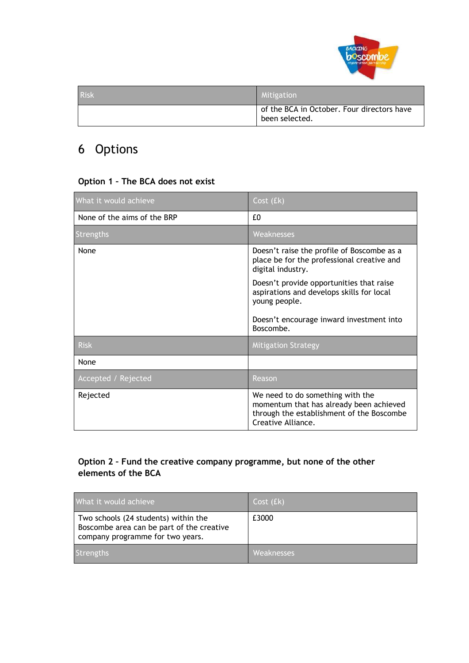

| <b>Risk</b> | Mitigation                                                   |
|-------------|--------------------------------------------------------------|
|             | of the BCA in October. Four directors have<br>been selected. |

# 6 Options

### **Option 1 – The BCA does not exist**

| What it would achieve       | Cost (£k)                                                                                                                                                 |
|-----------------------------|-----------------------------------------------------------------------------------------------------------------------------------------------------------|
| None of the aims of the BRP | £0                                                                                                                                                        |
| Strengths                   | Weaknesses                                                                                                                                                |
| None                        | Doesn't raise the profile of Boscombe as a<br>place be for the professional creative and<br>digital industry.<br>Doesn't provide opportunities that raise |
|                             | aspirations and develops skills for local<br>young people.                                                                                                |
|                             | Doesn't encourage inward investment into<br>Boscombe.                                                                                                     |
| <b>Risk</b>                 | <b>Mitigation Strategy</b>                                                                                                                                |
| None                        |                                                                                                                                                           |
| Accepted / Rejected         | Reason                                                                                                                                                    |
| Rejected                    | We need to do something with the<br>momentum that has already been achieved<br>through the establishment of the Boscombe<br>Creative Alliance.            |

### **Option 2 – Fund the creative company programme, but none of the other elements of the BCA**

| What it would achieve                                                                                                 | Cost (fk)  |
|-----------------------------------------------------------------------------------------------------------------------|------------|
| Two schools (24 students) within the<br>Boscombe area can be part of the creative<br>company programme for two years. | £3000      |
| <b>Strengths</b>                                                                                                      | Weaknesses |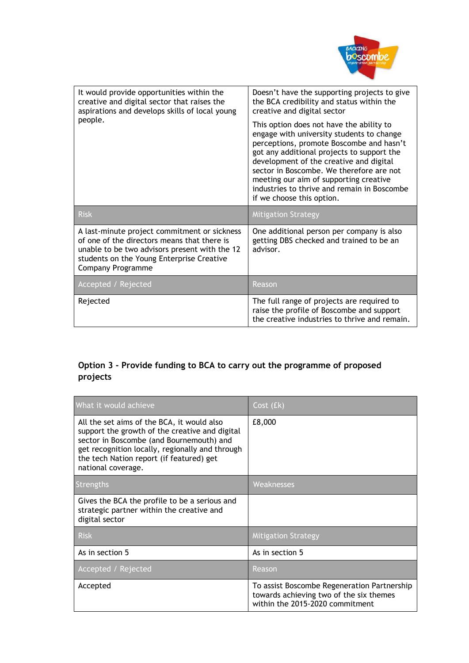

| It would provide opportunities within the<br>creative and digital sector that raises the<br>aspirations and develops skills of local young                                                                            | Doesn't have the supporting projects to give<br>the BCA credibility and status within the<br>creative and digital sector                                                                                                                                                                                                                                                                     |  |  |
|-----------------------------------------------------------------------------------------------------------------------------------------------------------------------------------------------------------------------|----------------------------------------------------------------------------------------------------------------------------------------------------------------------------------------------------------------------------------------------------------------------------------------------------------------------------------------------------------------------------------------------|--|--|
| people.                                                                                                                                                                                                               | This option does not have the ability to<br>engage with university students to change<br>perceptions, promote Boscombe and hasn't<br>got any additional projects to support the<br>development of the creative and digital<br>sector in Boscombe. We therefore are not<br>meeting our aim of supporting creative<br>industries to thrive and remain in Boscombe<br>if we choose this option. |  |  |
| <b>Risk</b>                                                                                                                                                                                                           | <b>Mitigation Strategy</b>                                                                                                                                                                                                                                                                                                                                                                   |  |  |
|                                                                                                                                                                                                                       |                                                                                                                                                                                                                                                                                                                                                                                              |  |  |
| A last-minute project commitment or sickness<br>of one of the directors means that there is<br>unable to be two advisors present with the 12<br>students on the Young Enterprise Creative<br><b>Company Programme</b> | One additional person per company is also<br>getting DBS checked and trained to be an<br>advisor.                                                                                                                                                                                                                                                                                            |  |  |
| Accepted / Rejected                                                                                                                                                                                                   | Reason                                                                                                                                                                                                                                                                                                                                                                                       |  |  |

### **Option 3 - Provide funding to BCA to carry out the programme of proposed projects**

| What it would achieve                                                                                                                                                                                                                                         | Cost (£k)                                                                                                                 |
|---------------------------------------------------------------------------------------------------------------------------------------------------------------------------------------------------------------------------------------------------------------|---------------------------------------------------------------------------------------------------------------------------|
| All the set aims of the BCA, it would also<br>support the growth of the creative and digital<br>sector in Boscombe (and Bournemouth) and<br>get recognition locally, regionally and through<br>the tech Nation report (if featured) get<br>national coverage. | £8,000                                                                                                                    |
| Strengths                                                                                                                                                                                                                                                     | Weaknesses                                                                                                                |
| Gives the BCA the profile to be a serious and<br>strategic partner within the creative and<br>digital sector                                                                                                                                                  |                                                                                                                           |
| <b>Risk</b>                                                                                                                                                                                                                                                   | <b>Mitigation Strategy</b>                                                                                                |
| As in section 5                                                                                                                                                                                                                                               | As in section 5                                                                                                           |
| Accepted / Rejected                                                                                                                                                                                                                                           | Reason                                                                                                                    |
| Accepted                                                                                                                                                                                                                                                      | To assist Boscombe Regeneration Partnership<br>towards achieving two of the six themes<br>within the 2015-2020 commitment |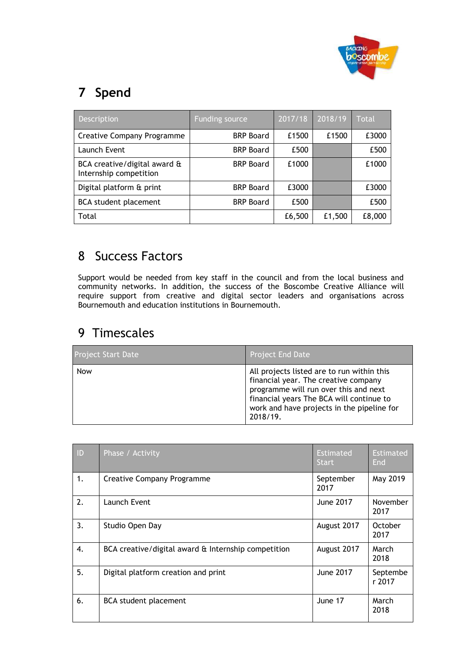

# **7 Spend**

| Description                                            | <b>Funding source</b> | 2017/18 | 2018/19 | Total  |
|--------------------------------------------------------|-----------------------|---------|---------|--------|
| <b>Creative Company Programme</b>                      | <b>BRP Board</b>      | £1500   | £1500   | £3000  |
| Launch Event                                           | <b>BRP Board</b>      | £500    |         | £500   |
| BCA creative/digital award &<br>Internship competition | <b>BRP Board</b>      | £1000   |         | £1000  |
| Digital platform & print                               | <b>BRP Board</b>      | £3000   |         | £3000  |
| <b>BCA</b> student placement                           | <b>BRP Board</b>      | £500    |         | £500   |
| Total                                                  |                       | £6,500  | £1,500  | £8,000 |

# 8 Success Factors

Support would be needed from key staff in the council and from the local business and community networks. In addition, the success of the Boscombe Creative Alliance will require support from creative and digital sector leaders and organisations across Bournemouth and education institutions in Bournemouth.

### 9 Timescales

| <b>Project Start Date</b> | <b>Project End Date</b>                                                                                                                                                                                                           |
|---------------------------|-----------------------------------------------------------------------------------------------------------------------------------------------------------------------------------------------------------------------------------|
| Now                       | All projects listed are to run within this<br>financial year. The creative company<br>programme will run over this and next<br>financial years The BCA will continue to<br>work and have projects in the pipeline for<br>2018/19. |

| ID           | Phase / Activity                                    | <b>Estimated</b><br><b>Start</b> | <b>Estimated</b><br>End |
|--------------|-----------------------------------------------------|----------------------------------|-------------------------|
| 1.           | <b>Creative Company Programme</b>                   | September<br>2017                | May 2019                |
| 2.           | Launch Event                                        | <b>June 2017</b>                 | November<br>2017        |
| 3.           | Studio Open Day                                     | August 2017                      | October<br>2017         |
| $\mathbf{4}$ | BCA creative/digital award & Internship competition | August 2017                      | March<br>2018           |
| 5.           | Digital platform creation and print                 | June 2017                        | Septembe<br>r 2017      |
| 6.           | <b>BCA</b> student placement                        | June 17                          | March<br>2018           |